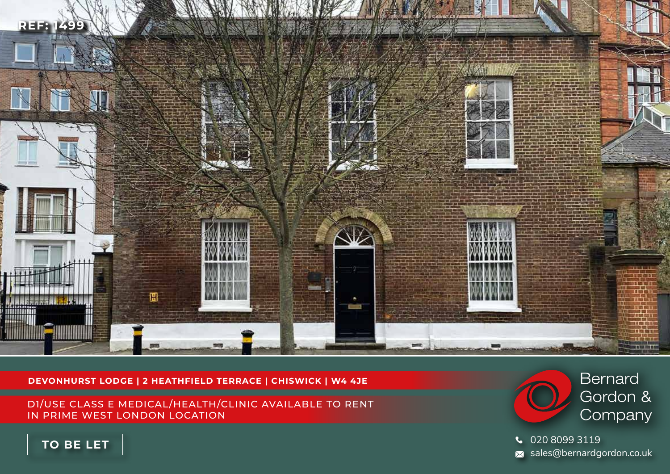

### **DEVONHURST LODGE | 2 HEATHFIELD TERRACE | CHISWICK | W4 4JE**

D1/USE CLASS E MEDICAL/HEALTH/CLINIC AVAILABLE TO RENT IN PRIME WEST LONDON LOCATION



020 8099 3119 sales@bernardgordon.co.uk

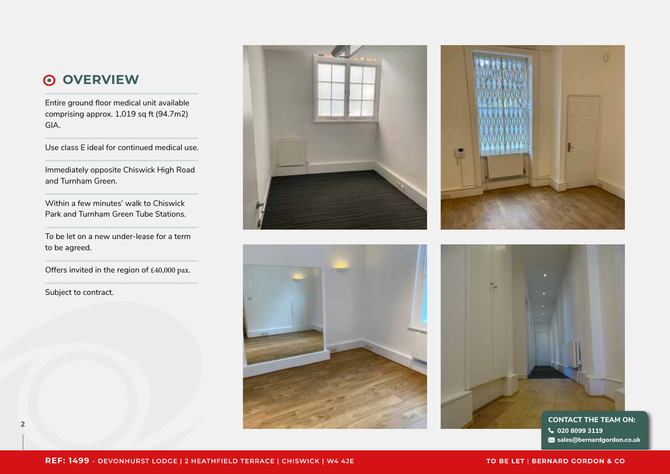## **OVERVIEW**

Entire ground floor medical unit available comprising approx. 1,019 sq ft (94.7m2) GIA.

Use class E ideal for continued medical use.

Immediately opposite Chiswick High Road and Turnham Green.

Within a few minutes' walk to Chiswick Park and Turnham Green Tube Stations.

To be let on a new under-lease for a term to be agreed.

Offers invited in the region of £40,000 pax.

Subject to contract.









**020 8099 3119 sales@bernardgordon.co.uk**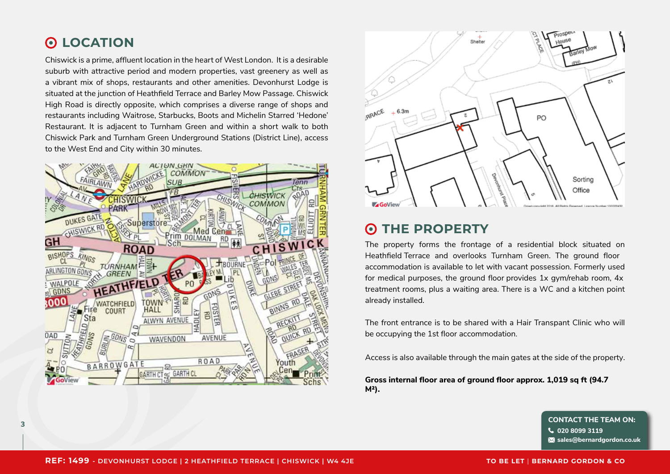#### **LOCATION**  $\odot$

Chiswick is a prime, affluent location in the heart of West London. It is a desirable suburb with attractive period and modern properties, vast greenery as well as a vibrant mix of shops, restaurants and other amenities. Devonhurst Lodge is situated at the junction of Heathfield Terrace and Barley Mow Passage. Chiswick High Road is directly opposite, which comprises a diverse range of shops and restaurants including Waitrose, Starbucks, Boots and Michelin Starred 'Hedone' Restaurant. It is adjacent to Turnham Green and within a short walk to both Chiswick Park and Turnham Green Underground Stations (District Line), access to the West End and City within 30 minutes.





#### **THE PROPERTY**  $\odot$

The property forms the frontage of a residential block situated on Heathfield Terrace and overlooks Turnham Green. The ground floor accommodation is available to let with vacant possession. Formerly used for medical purposes, the ground floor provides 1x gym/rehab room, 4x treatment rooms, plus a waiting area. There is a WC and a kitchen point already installed.

The front entrance is to be shared with a Hair Transpant Clinic who will be occupying the 1st floor accommodation.

Access is also available through the main gates at the side of the property.

**Gross internal floor area of ground floor approx. 1,019 sq ft (94.7 M²).**

**<sup>3</sup> CONTACT THE TEAM ON: 020 8099 3119 sales@bernardgordon.co.uk**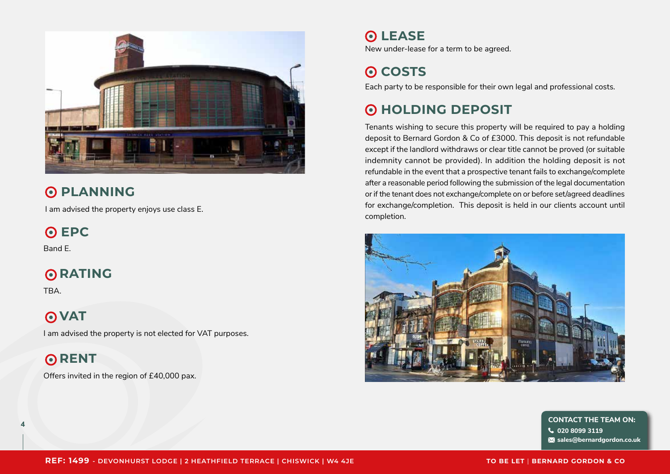

## **O PLANNING**

I am advised the property enjoys use class E.

**EPC**

Band E.

## **RATING**

**TRA** 

## **O**VAT

I am advised the property is not elected for VAT purposes.

## **RENT**

Offers invited in the region of £40,000 pax.

# **LEASE**

New under-lease for a term to be agreed.

# **Q** COSTS

Each party to be responsible for their own legal and professional costs.

# **O HOLDING DEPOSIT**

Tenants wishing to secure this property will be required to pay a holding deposit to Bernard Gordon & Co of £3000. This deposit is not refundable except if the landlord withdraws or clear title cannot be proved (or suitable indemnity cannot be provided). In addition the holding deposit is not refundable in the event that a prospective tenant fails to exchange/complete after a reasonable period following the submission of the legal documentation or if the tenant does not exchange/complete on or before set/agreed deadlines for exchange/completion. This deposit is held in our clients account until completion.



**<sup>4</sup> CONTACT THE TEAM ON: 020 8099 3119 sales@bernardgordon.co.uk**